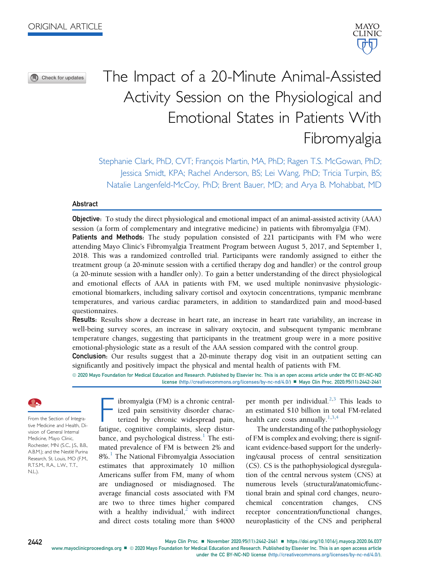⋒ Check for updates

# The Impact of a 20-Minute Animal-Assisted Activity Session on the Physiological and Emotional States in Patients With Fibromyalgia

Stephanie Clark, PhD, CVT; François Martin, MA, PhD; Ragen T.S. McGowan, PhD; Jessica Smidt, KPA; Rachel Anderson, BS; Lei Wang, PhD; Tricia Turpin, BS; Natalie Langenfeld-McCoy, PhD; Brent Bauer, MD; and Arya B. Mohabbat, MD

# Abstract

Objective: To study the direct physiological and emotional impact of an animal-assisted activity (AAA) session (a form of complementary and integrative medicine) in patients with fibromyalgia (FM). Patients and Methods: The study population consisted of 221 participants with FM who were attending Mayo Clinic's Fibromyalgia Treatment Program between August 5, 2017, and September 1, 2018. This was a randomized controlled trial. Participants were randomly assigned to either the treatment group (a 20-minute session with a certified therapy dog and handler) or the control group (a 20-minute session with a handler only). To gain a better understanding of the direct physiological and emotional effects of AAA in patients with FM, we used multiple noninvasive physiologicemotional biomarkers, including salivary cortisol and oxytocin concentrations, tympanic membrane temperatures, and various cardiac parameters, in addition to standardized pain and mood-based questionnaires.

Results: Results show a decrease in heart rate, an increase in heart rate variability, an increase in well-being survey scores, an increase in salivary oxytocin, and subsequent tympanic membrane temperature changes, suggesting that participants in the treatment group were in a more positive emotional-physiologic state as a result of the AAA session compared with the control group.

Conclusion: Our results suggest that a 20-minute therapy dog visit in an outpatient setting can significantly and positively impact the physical and mental health of patients with FM.

ª 2020 Mayo Foundation for Medical Education and Research. Published by Elsevier Inc. This is an open access article under the CC BY-NC-ND license ([http://creativecommons.org/licenses/by-nc-nd/4.0/\)](http://creativecommons.org/licenses/by-nc-nd/4.0/) ■ Mayo Clin Proc. 2020;95(11):2442-2461

From the Section of Integrative Medicine and Health, Division of General Internal Medicine, Mayo Clinic, Rochester, MN (S.C., J.S., B.B., A.B.M.); and the Nestlé Purina Research, St. Louis, MO (F.M., R.T.S.M., R.A., L.W., T.T., N.L.).

ibromyalgia (FM) is a chronic centralized pain sensitivity disorder charac-

terized by chronic widespread pain, fatigue, cognitive complaints, sleep disturbance, and psychological distress. $<sup>1</sup>$  $<sup>1</sup>$  $<sup>1</sup>$  The esti-</sup> mated prevalence of FM is between 2% and 8%.<sup>[1](#page-18-0)</sup> The National Fibromyalgia Association estimates that approximately 10 million Americans suffer from FM, many of whom are undiagnosed or misdiagnosed. The average financial costs associated with FM are two to three times higher compared with a healthy individual,<sup>[2](#page-18-1)</sup> with indirect and direct costs totaling more than \$4000 per month per individual. $2,3$  $2,3$  This leads to an estimated \$10 billion in total FM-related health care costs annually.<sup>[1,](#page-18-0)[3](#page-18-2)[,4](#page-18-3)</sup>

The understanding of the pathophysiology of FM is complex and evolving; there is significant evidence-based support for the underlying/causal process of central sensitization (CS). CS is the pathophysiological dysregulation of the central nervous system (CNS) at numerous levels (structural/anatomic/functional brain and spinal cord changes, neurochemical concentration changes, CNS receptor concentration/functional changes, neuroplasticity of the CNS and peripheral

2442 Mayo Clin Proc. ■ November 2020;95(11):2442-2461 ■ <https://doi.org/10.1016/j.mayocp.2020.04.037> [www.mayoclinicproceedings.org](http://www.mayoclinicproceedings.org)  $\blacksquare$  © 2020 Mayo Foundation for Medical Education and Research. Published by Elsevier Inc. This is an open access article

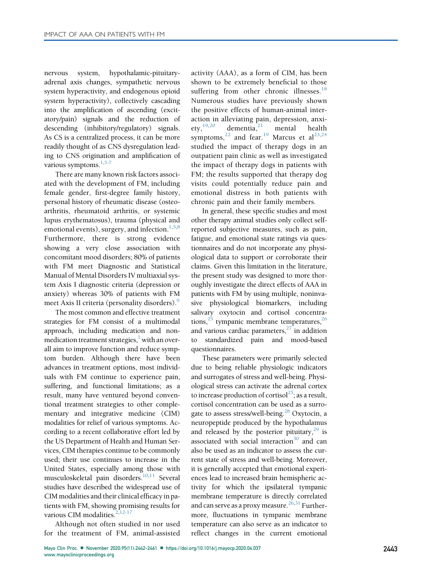nervous system, hypothalamic-pituitaryadrenal axis changes, sympathetic nervous system hyperactivity, and endogenous opioid system hyperactivity), collectively cascading into the amplification of ascending (excitatory/pain) signals and the reduction of descending (inhibitory/regulatory) signals. As CS is a centralized process, it can be more readily thought of as CNS dysregulation leading to CNS origination and amplification of various symptoms.<sup>[1](#page-18-0)[,5-7](#page-18-4)</sup>

There are many known risk factors associated with the development of FM, including female gender, first-degree family history, personal history of rheumatic disease (osteoarthritis, rheumatoid arthritis, or systemic lupus erythematosus), trauma (physical and emotional events), surgery, and infection. $1,5,8$  $1,5,8$  $1,5,8$ Furthermore, there is strong evidence showing a very close association with concomitant mood disorders; 80% of patients with FM meet Diagnostic and Statistical Manual of Mental Disorders IV multiaxial system Axis I diagnostic criteria (depression or anxiety) whereas 30% of patients with FM meet Axis II criteria (personality disorders).<sup>[9](#page-18-6)</sup>

The most common and effective treatment strategies for FM consist of a multimodal approach, including medication and nonmedication treatment strategies, $\frac{1}{1}$  with an overall aim to improve function and reduce symptom burden. Although there have been advances in treatment options, most individuals with FM continue to experience pain, suffering, and functional limitations; as a result, many have ventured beyond conventional treatment strategies to other complementary and integrative medicine (CIM) modalities for relief of various symptoms. According to a recent collaborative effort led by the US Department of Health and Human Services, CIM therapies continue to be commonly used; their use continues to increase in the United States, especially among those with musculoskeletal pain disorders.<sup>[10](#page-18-7)[,11](#page-18-8)</sup> Several studies have described the widespread use of CIM modalities and their clinical efficacy in patients with FM, showing promising results for various CIM modalities. $2,12-17$  $2,12-17$ 

Although not often studied in nor used for the treatment of FM, animal-assisted activity (AAA), as a form of CIM, has been shown to be extremely beneficial to those suffering from other chronic illnesses.<sup>[18](#page-18-10)</sup> Numerous studies have previously shown the positive effects of human-animal interaction in alleviating pain, depression, anxiety, $^{19,20}$  $^{19,20}$  $^{19,20}$  $^{19,20}$  dementia, $^{21}$  $^{21}$  $^{21}$  mental health symptoms, <sup>[22](#page-18-14)</sup> and fear.<sup>[19](#page-18-11)</sup> Marcus et al<sup>[23,](#page-18-15)[24](#page-18-16)</sup> studied the impact of therapy dogs in an outpatient pain clinic as well as investigated the impact of therapy dogs in patients with FM; the results supported that therapy dog visits could potentially reduce pain and emotional distress in both patients with chronic pain and their family members.

In general, these specific studies and most other therapy animal studies only collect selfreported subjective measures, such as pain, fatigue, and emotional state ratings via questionnaires and do not incorporate any physiological data to support or corroborate their claims. Given this limitation in the literature, the present study was designed to more thoroughly investigate the direct effects of AAA in patients with FM by using multiple, noninvasive physiological biomarkers, including salivary oxytocin and cortisol concentra-tions,<sup>[25](#page-18-17)</sup> tympanic membrane temperatures,<sup>[26](#page-18-18)</sup> and various cardiac parameters, $27$  in addition to standardized pain and mood-based questionnaires.

These parameters were primarily selected due to being reliable physiologic indicators and surrogates of stress and well-being. Physiological stress can activate the adrenal cortex to increase production of cortisol<sup>25</sup>; as a result, cortisol concentration can be used as a surro-gate to assess stress/well-being.<sup>[28](#page-19-0)</sup> Oxytocin, a neuropeptide produced by the hypothalamus and released by the posterior pituitary, $29$  is associated with social interaction $30$  and can also be used as an indicator to assess the current state of stress and well-being. Moreover, it is generally accepted that emotional experiences lead to increased brain hemispheric activity for which the ipsilateral tympanic membrane temperature is directly correlated and can serve as a proxy measure.<sup>[26](#page-18-18)[,31](#page-19-3)</sup> Furthermore, fluctuations in tympanic membrane temperature can also serve as an indicator to reflect changes in the current emotional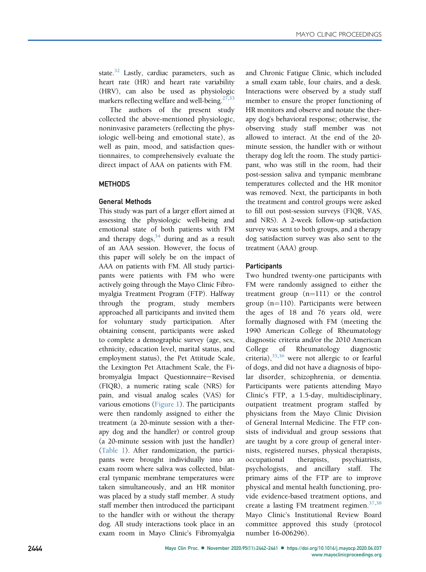state. $32$  Lastly, cardiac parameters, such as heart rate (HR) and heart rate variability (HRV), can also be used as physiologic markers reflecting welfare and well-being. $27,33$  $27,33$  $27,33$ 

The authors of the present study collected the above-mentioned physiologic, noninvasive parameters (reflecting the physiologic well-being and emotional state), as well as pain, mood, and satisfaction questionnaires, to comprehensively evaluate the direct impact of AAA on patients with FM.

# **METHODS**

# General Methods

This study was part of a larger effort aimed at assessing the physiologic well-being and emotional state of both patients with FM and therapy  $\log s^{34}$  during and as a result of an AAA session. However, the focus of this paper will solely be on the impact of AAA on patients with FM. All study participants were patients with FM who were actively going through the Mayo Clinic Fibromyalgia Treatment Program (FTP). Halfway through the program, study members approached all participants and invited them for voluntary study participation. After obtaining consent, participants were asked to complete a demographic survey (age, sex, ethnicity, education level, marital status, and employment status), the Pet Attitude Scale, the Lexington Pet Attachment Scale, the Fibromyalgia Impact Questionnaire-Revised (FIQR), a numeric rating scale (NRS) for pain, and visual analog scales (VAS) for various emotions [\(Figure 1\)](#page-3-0). The participants were then randomly assigned to either the treatment (a 20-minute session with a therapy dog and the handler) or control group (a 20-minute session with just the handler) [\(Table 1](#page-4-0)). After randomization, the participants were brought individually into an exam room where saliva was collected, bilateral tympanic membrane temperatures were taken simultaneously, and an HR monitor was placed by a study staff member. A study staff member then introduced the participant to the handler with or without the therapy dog. All study interactions took place in an exam room in Mayo Clinic's Fibromyalgia and Chronic Fatigue Clinic, which included a small exam table, four chairs, and a desk. Interactions were observed by a study staff member to ensure the proper functioning of HR monitors and observe and notate the therapy dog's behavioral response; otherwise, the observing study staff member was not allowed to interact. At the end of the 20 minute session, the handler with or without therapy dog left the room. The study participant, who was still in the room, had their post-session saliva and tympanic membrane temperatures collected and the HR monitor was removed. Next, the participants in both the treatment and control groups were asked to fill out post-session surveys (FIQR, VAS, and NRS). A 2-week follow-up satisfaction survey was sent to both groups, and a therapy dog satisfaction survey was also sent to the treatment (AAA) group.

# **Participants**

Two hundred twenty-one participants with FM were randomly assigned to either the treatment group  $(n=111)$  or the control group  $(n=110)$ . Participants were between the ages of 18 and 76 years old, were formally diagnosed with FM (meeting the 1990 American College of Rheumatology diagnostic criteria and/or the 2010 American College of Rheumatology diagnostic criteria),[35](#page-19-7)[,36](#page-19-8) were not allergic to or fearful of dogs, and did not have a diagnosis of bipolar disorder, schizophrenia, or dementia. Participants were patients attending Mayo Clinic's FTP, a 1.5-day, multidisciplinary, outpatient treatment program staffed by physicians from the Mayo Clinic Division of General Internal Medicine. The FTP consists of individual and group sessions that are taught by a core group of general internists, registered nurses, physical therapists, occupational therapists, psychiatrists, psychologists, and ancillary staff. The primary aims of the FTP are to improve physical and mental health functioning, provide evidence-based treatment options, and create a lasting FM treatment regimen.<sup>[37,](#page-19-9)[38](#page-19-10)</sup> Mayo Clinic's Institutional Review Board committee approved this study (protocol number 16-006296).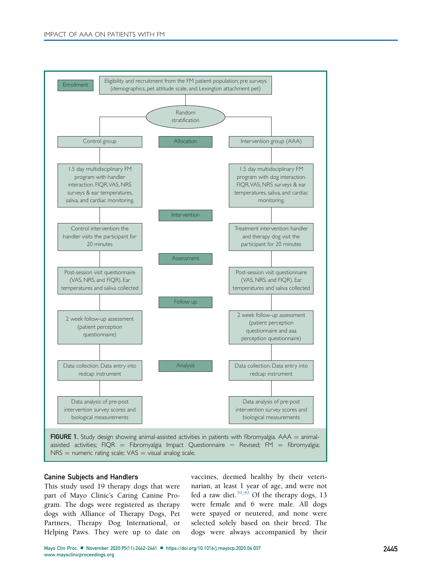<span id="page-3-0"></span>

#### Canine Subjects and Handlers

This study used 19 therapy dogs that were part of Mayo Clinic's Caring Canine Program. The dogs were registered as therapy dogs with Alliance of Therapy Dogs, Pet Partners, Therapy Dog International, or Helping Paws. They were up to date on

vaccines, deemed healthy by their veterinarian, at least 1 year of age, and were not fed a raw diet. $39,40$  $39,40$  Of the therapy dogs, 13 were female and 6 were male. All dogs were spayed or neutered, and none were selected solely based on their breed. The dogs were always accompanied by their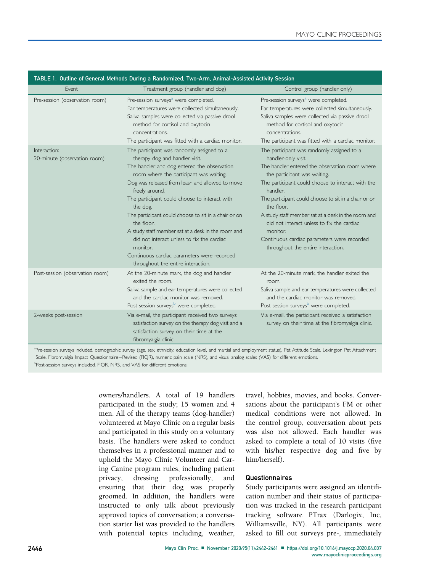<span id="page-4-0"></span>

| TABLE 1. Outline of General Methods During a Randomized, Two-Arm, Animal-Assisted Activity Session |                                                                                                                                                                                                                                                                                                                                                                                                                                                                                                                                                                                     |                                                                                                                                                                                                                                                                                                                                                                                                                                                                                                 |  |  |  |  |  |  |
|----------------------------------------------------------------------------------------------------|-------------------------------------------------------------------------------------------------------------------------------------------------------------------------------------------------------------------------------------------------------------------------------------------------------------------------------------------------------------------------------------------------------------------------------------------------------------------------------------------------------------------------------------------------------------------------------------|-------------------------------------------------------------------------------------------------------------------------------------------------------------------------------------------------------------------------------------------------------------------------------------------------------------------------------------------------------------------------------------------------------------------------------------------------------------------------------------------------|--|--|--|--|--|--|
| Event                                                                                              | Treatment group (handler and dog)                                                                                                                                                                                                                                                                                                                                                                                                                                                                                                                                                   | Control group (handler only)                                                                                                                                                                                                                                                                                                                                                                                                                                                                    |  |  |  |  |  |  |
| Pre-session (observation room)                                                                     | Pre-session surveys <sup>a</sup> were completed.<br>Ear temperatures were collected simultaneously.<br>Saliva samples were collected via passive drool<br>method for cortisol and oxytocin<br>concentrations.<br>The participant was fitted with a cardiac monitor.                                                                                                                                                                                                                                                                                                                 | Pre-session surveys <sup>a</sup> were completed.<br>Ear temperatures were collected simultaneously.<br>Saliva samples were collected via passive drool<br>method for cortisol and oxytocin<br>concentrations.<br>The participant was fitted with a cardiac monitor.                                                                                                                                                                                                                             |  |  |  |  |  |  |
| Interaction:<br>20-minute (observation room)                                                       | The participant was randomly assigned to a<br>therapy dog and handler visit.<br>The handler and dog entered the observation<br>room where the participant was waiting.<br>Dog was released from leash and allowed to move<br>freely around.<br>The participant could choose to interact with<br>the dog.<br>The participant could choose to sit in a chair or on<br>the floor.<br>A study staff member sat at a desk in the room and<br>did not interact unless to fix the cardiac<br>monitor.<br>Continuous cardiac parameters were recorded<br>throughout the entire interaction. | The participant was randomly assigned to a<br>handler-only visit.<br>The handler entered the observation room where<br>the participant was waiting.<br>The participant could choose to interact with the<br>handler.<br>The participant could choose to sit in a chair or on<br>the floor.<br>A study staff member sat at a desk in the room and<br>did not interact unless to fix the cardiac<br>monitor.<br>Continuous cardiac parameters were recorded<br>throughout the entire interaction. |  |  |  |  |  |  |
| Post-session (observation room)                                                                    | At the 20-minute mark, the dog and handler<br>exited the room.<br>Saliva sample and ear temperatures were collected<br>and the cardiac monitor was removed.<br>Post-session surveys <sup>b</sup> were completed.                                                                                                                                                                                                                                                                                                                                                                    | At the 20-minute mark, the handler exited the<br>room.<br>Saliva sample and ear temperatures were collected<br>and the cardiac monitor was removed.<br>Post-session surveys <sup>b</sup> were completed.                                                                                                                                                                                                                                                                                        |  |  |  |  |  |  |
| 2-weeks post-session                                                                               | Via e-mail, the participant received two surveys:<br>satisfaction survey on the therapy dog visit and a<br>satisfaction survey on their time at the<br>fibromyalgia clinic.                                                                                                                                                                                                                                                                                                                                                                                                         | Via e-mail, the participant received a satisfaction<br>survey on their time at the fibromyalgia clinic.                                                                                                                                                                                                                                                                                                                                                                                         |  |  |  |  |  |  |

<span id="page-4-2"></span><span id="page-4-1"></span>a<br>Pre-session surveys included, demographic survey (age, sex, ethnicity, education level, and martial and employment status), Pet Attitude Scale, Lexington Pet Attachment Scale, Fibromyalgia Impact Questionnaire-Revised (FIQR), numeric pain scale (NRS), and visual analog scales (VAS) for different emotions. **Post-session surveys included, FIQR, NRS, and VAS for different emotions.** 

> owners/handlers. A total of 19 handlers participated in the study; 15 women and 4 men. All of the therapy teams (dog-handler) volunteered at Mayo Clinic on a regular basis and participated in this study on a voluntary basis. The handlers were asked to conduct themselves in a professional manner and to uphold the Mayo Clinic Volunteer and Caring Canine program rules, including patient privacy, dressing professionally, and ensuring that their dog was properly groomed. In addition, the handlers were instructed to only talk about previously approved topics of conversation; a conversation starter list was provided to the handlers with potential topics including, weather,

travel, hobbies, movies, and books. Conversations about the participant's FM or other medical conditions were not allowed. In the control group, conversation about pets was also not allowed. Each handler was asked to complete a total of 10 visits (five with his/her respective dog and five by him/herself).

#### Questionnaires

Study participants were assigned an identification number and their status of participation was tracked in the research participant tracking software PTrax (Darlogix, Inc, Williamsville, NY). All participants were asked to fill out surveys pre-, immediately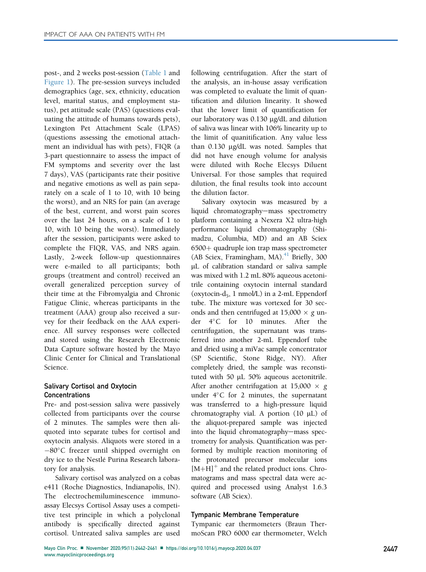post-, and 2 weeks post-session [\(Table 1](#page-4-0) and [Figure 1](#page-3-0)). The pre-session surveys included demographics (age, sex, ethnicity, education level, marital status, and employment status), pet attitude scale (PAS) (questions evaluating the attitude of humans towards pets), Lexington Pet Attachment Scale (LPAS) (questions assessing the emotional attachment an individual has with pets), FIQR (a 3-part questionnaire to assess the impact of FM symptoms and severity over the last 7 days), VAS (participants rate their positive and negative emotions as well as pain separately on a scale of 1 to 10, with 10 being the worst), and an NRS for pain (an average of the best, current, and worst pain scores over the last 24 hours, on a scale of 1 to 10, with 10 being the worst). Immediately after the session, participants were asked to complete the FIQR, VAS, and NRS again. Lastly, 2-week follow-up questionnaires were e-mailed to all participants; both groups (treatment and control) received an overall generalized perception survey of their time at the Fibromyalgia and Chronic Fatigue Clinic, whereas participants in the treatment (AAA) group also received a survey for their feedback on the AAA experience. All survey responses were collected and stored using the Research Electronic Data Capture software hosted by the Mayo Clinic Center for Clinical and Translational Science.

# Salivary Cortisol and Oxytocin **Concentrations**

Pre- and post-session saliva were passively collected from participants over the course of 2 minutes. The samples were then aliquoted into separate tubes for cortisol and oxytocin analysis. Aliquots were stored in a -80C freezer until shipped overnight on dry ice to the Nestlé Purina Research laboratory for analysis.

Salivary cortisol was analyzed on a cobas e411 (Roche Diagnostics, Indianapolis, IN). The electrochemiluminescence immunoassay Elecsys Cortisol Assay uses a competitive test principle in which a polyclonal antibody is specifically directed against cortisol. Untreated saliva samples are used

following centrifugation. After the start of the analysis, an in-house assay verification was completed to evaluate the limit of quantification and dilution linearity. It showed that the lower limit of quantification for our laboratory was 0.130 µg/dL and dilution of saliva was linear with 106% linearity up to the limit of quanitification. Any value less than 0.130 mg/dL was noted. Samples that did not have enough volume for analysis were diluted with Roche Elecsys Diluent Universal. For those samples that required dilution, the final results took into account the dilution factor.

Salivary oxytocin was measured by a liquid chromatography-mass spectrometry platform containing a Nexera X2 ultra-high performance liquid chromatography (Shimadzu, Columbia, MD) and an AB Sciex  $6500+$  quadruple ion trap mass spectrometer (AB Sciex, Framingham, MA). $^{41}$  $^{41}$  $^{41}$  Briefly, 300 mL of calibration standard or saliva sample was mixed with 1.2 mL 80% aqueous acetonitrile containing oxytocin internal standard (oxytocin-d<sub>5</sub>, 1 nmol/L) in a 2-mL Eppendorf tube. The mixture was vortexed for 30 seconds and then centrifuged at  $15,000 \times g$  under 4°C for 10 minutes. After the centrifugation, the supernatant was transferred into another 2-mL Eppendorf tube and dried using a miVac sample concentrator (SP Scientific, Stone Ridge, NY). After completely dried, the sample was reconstituted with 50  $\mu$ L 50% aqueous acetonitrile. After another centrifugation at 15,000  $\times$  g under  $4^{\circ}$ C for 2 minutes, the supernatant was transferred to a high-pressure liquid chromatography vial. A portion  $(10 \mu L)$  of the aliquot-prepared sample was injected into the liquid chromatography-mass spectrometry for analysis. Quantification was performed by multiple reaction monitoring of the protonated precursor molecular ions  $[M+H]^+$  and the related product ions. Chromatograms and mass spectral data were acquired and processed using Analyst 1.6.3 software (AB Sciex).

#### Tympanic Membrane Temperature

Tympanic ear thermometers (Braun ThermoScan PRO 6000 ear thermometer, Welch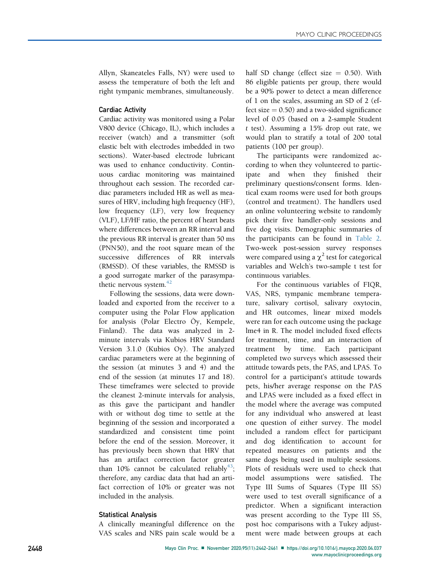Allyn, Skaneateles Falls, NY) were used to assess the temperature of both the left and right tympanic membranes, simultaneously.

# Cardiac Activity

Cardiac activity was monitored using a Polar V800 device (Chicago, IL), which includes a receiver (watch) and a transmitter (soft elastic belt with electrodes imbedded in two sections). Water-based electrode lubricant was used to enhance conductivity. Continuous cardiac monitoring was maintained throughout each session. The recorded cardiac parameters included HR as well as measures of HRV, including high frequency (HF), low frequency (LF), very low frequency (VLF), LF/HF ratio, the percent of heart beats where differences between an RR interval and the previous RR interval is greater than 50 ms (PNN50), and the root square mean of the successive differences of RR intervals (RMSSD). Of these variables, the RMSSD is a good surrogate marker of the parasympathetic nervous system. $42$ 

Following the sessions, data were downloaded and exported from the receiver to a computer using the Polar Flow application for analysis (Polar Electro Öy, Kempele, Finland). The data was analyzed in 2 minute intervals via Kubios HRV Standard Version 3.1.0 (Kubios Oy). The analyzed cardiac parameters were at the beginning of the session (at minutes 3 and 4) and the end of the session (at minutes 17 and 18). These timeframes were selected to provide the cleanest 2-minute intervals for analysis, as this gave the participant and handler with or without dog time to settle at the beginning of the session and incorporated a standardized and consistent time point before the end of the session. Moreover, it has previously been shown that HRV that has an artifact correction factor greater than 10% cannot be calculated reliably<sup>43</sup>; therefore, any cardiac data that had an artifact correction of 10% or greater was not included in the analysis.

# Statistical Analysis

A clinically meaningful difference on the VAS scales and NRS pain scale would be a half SD change (effect size  $= 0.50$ ). With 86 eligible patients per group, there would be a 90% power to detect a mean difference of 1 on the scales, assuming an SD of 2 (effect size  $= 0.50$ ) and a two-sided significance level of 0.05 (based on a 2-sample Student t test). Assuming a 15% drop out rate, we would plan to stratify a total of 200 total patients (100 per group).

The participants were randomized according to when they volunteered to participate and when they finished their preliminary questions/consent forms. Identical exam rooms were used for both groups (control and treatment). The handlers used an online volunteering website to randomly pick their five handler-only sessions and five dog visits. Demographic summaries of the participants can be found in [Table 2.](#page-8-0) Two-week post-session survey responses were compared using a  $\chi^2$  test for categorical variables and Welch's two-sample t test for continuous variables.

For the continuous variables of FIQR, VAS, NRS, tympanic membrane temperature, salivary cortisol, salivary oxytocin, and HR outcomes, linear mixed models were ran for each outcome using the package lme4 in R. The model included fixed effects for treatment, time, and an interaction of treatment by time. Each participant completed two surveys which assessed their attitude towards pets, the PAS, and LPAS. To control for a participant's attitude towards pets, his/her average response on the PAS and LPAS were included as a fixed effect in the model where the average was computed for any individual who answered at least one question of either survey. The model included a random effect for participant and dog identification to account for repeated measures on patients and the same dogs being used in multiple sessions. Plots of residuals were used to check that model assumptions were satisfied. The Type III Sums of Squares (Type III SS) were used to test overall significance of a predictor. When a significant interaction was present according to the Type III SS, post hoc comparisons with a Tukey adjustment were made between groups at each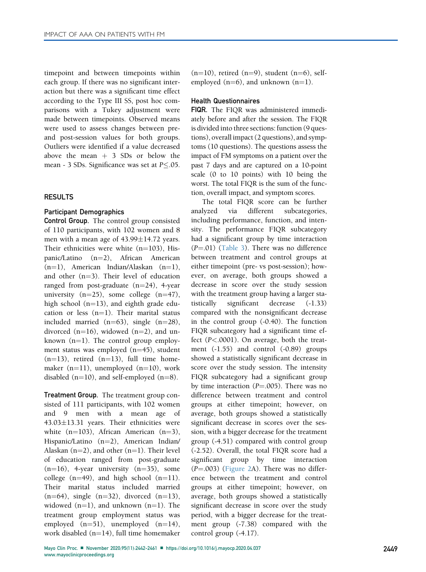timepoint and between timepoints within each group. If there was no significant interaction but there was a significant time effect according to the Type III SS, post hoc comparisons with a Tukey adjustment were made between timepoints. Observed means were used to assess changes between preand post-session values for both groups. Outliers were identified if a value decreased above the mean  $+$  3 SDs or below the mean - 3 SDs. Significance was set at  $P<.05$ .

### **RESULTS**

#### Participant Demographics

Control Group. The control group consisted of 110 participants, with 102 women and 8 men with a mean age of  $43.99 \pm 14.72$  years. Their ethnicities were white  $(n=103)$ , Hispanic/Latino  $(n=2)$ , African American  $(n=1)$ , American Indian/Alaskan  $(n=1)$ , and other  $(n=3)$ . Their level of education ranged from post-graduate  $(n=24)$ , 4-year university  $(n=25)$ , some college  $(n=47)$ , high school  $(n=13)$ , and eighth grade education or less  $(n=1)$ . Their marital status included married  $(n=63)$ , single  $(n=28)$ , divorced  $(n=16)$ , widowed  $(n=2)$ , and unknown  $(n=1)$ . The control group employment status was employed  $(n=45)$ , student  $(n=13)$ , retired  $(n=13)$ , full time homemaker  $(n=11)$ , unemployed  $(n=10)$ , work disabled  $(n=10)$ , and self-employed  $(n=8)$ .

Treatment Group. The treatment group consisted of 111 participants, with 102 women and 9 men with a mean age of  $43.03 \pm 13.31$  years. Their ethnicities were white  $(n=103)$ , African American  $(n=3)$ , Hispanic/Latino (n=2), American Indian/ Alaskan ( $n=2$ ), and other ( $n=1$ ). Their level of education ranged from post-graduate  $(n=16)$ , 4-year university  $(n=35)$ , some college  $(n=49)$ , and high school  $(n=11)$ . Their marital status included married  $(n=64)$ , single  $(n=32)$ , divorced  $(n=13)$ , widowed  $(n=1)$ , and unknown  $(n=1)$ . The treatment group employment status was employed  $(n=51)$ , unemployed  $(n=14)$ , work disabled  $(n=14)$ , full time homemaker

 $(n=10)$ , retired  $(n=9)$ , student  $(n=6)$ , selfemployed (n=6), and unknown (n=1).

#### Health Questionnaires

FIQR. The FIQR was administered immediately before and after the session. The FIQR is divided into three sections: function (9 questions), overall impact (2 questions), and symptoms (10 questions). The questions assess the impact of FM symptoms on a patient over the past 7 days and are captured on a 10-point scale (0 to 10 points) with 10 being the worst. The total FIQR is the sum of the function, overall impact, and symptom scores.

The total FIQR score can be further analyzed via different subcategories, including performance, function, and intensity. The performance FIQR subcategory had a significant group by time interaction  $(P=.01)$  [\(Table 3\)](#page-9-0). There was no difference between treatment and control groups at either timepoint (pre- vs post-session); however, on average, both groups showed a decrease in score over the study session with the treatment group having a larger statistically significant decrease (-1.33) compared with the nonsignificant decrease in the control group (-0.40). The function FIQR subcategory had a significant time effect (P<.0001). On average, both the treatment (-1.55) and control (-0.89) groups showed a statistically significant decrease in score over the study session. The intensity FIQR subcategory had a significant group by time interaction  $(P=.005)$ . There was no difference between treatment and control groups at either timepoint; however, on average, both groups showed a statistically significant decrease in scores over the session, with a bigger decrease for the treatment group (-4.51) compared with control group (-2.52). Overall, the total FIQR score had a significant group by time interaction  $(P=.003)$  [\(Figure 2A](#page-11-0)). There was no difference between the treatment and control groups at either timepoint; however, on average, both groups showed a statistically significant decrease in score over the study period, with a bigger decrease for the treatment group (-7.38) compared with the control group (-4.17).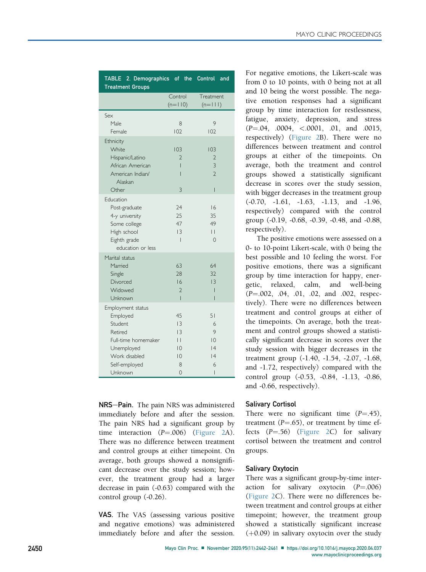<span id="page-8-0"></span>

| TABLE 2. Demographics of the Control and<br><b>Treatment Groups</b>                                                                   |                                                                                                      |                                                       |
|---------------------------------------------------------------------------------------------------------------------------------------|------------------------------------------------------------------------------------------------------|-------------------------------------------------------|
|                                                                                                                                       | Control<br>$(n=110)$                                                                                 | Treatment<br>$(n= 1 )$                                |
| Sex<br>Male<br>Female                                                                                                                 | 8<br>102                                                                                             | 9<br>102                                              |
| Ethnicity<br>White<br>Hispanic/Latino<br>African American<br>American Indian/<br>Alaskan<br>Other                                     | 103<br>$\mathcal{D}$<br>Ī<br>Ī<br>3                                                                  | 103<br>$\mathfrak{D}$<br>3<br>$\mathfrak{D}$<br>I     |
| Fducation<br>Post-graduate<br>4-y university<br>Some college<br>High school<br>Eighth grade<br>education or less                      | 24<br>25<br>47<br>$\overline{3}$<br>$\overline{1}$                                                   | 16<br>35<br>49<br>$\vert \ \vert$<br>$\Omega$         |
| Marital status<br>Married<br>Single<br>Divorced<br>Widowed<br>Unknown                                                                 | 63<br>28<br>16<br>$\mathcal{P}$<br>I                                                                 | 64<br>32<br>13<br>ı<br>I                              |
| Employment status<br>Employed<br>Student<br>Retired<br>Full-time homemaker<br>Unemployed<br>Work disabled<br>Self-employed<br>Unknown | 45<br>$\overline{3}$<br>13<br>$\vert \ \vert$<br>$\overline{10}$<br>$\overline{10}$<br>8<br>$\Omega$ | 51<br>6<br>9<br>$\overline{10}$<br> 4<br> 4<br>6<br>I |

NRS-Pain. The pain NRS was administered immediately before and after the session. The pain NRS had a significant group by time interaction  $(P=.006)$  [\(Figure 2A](#page-11-0)). There was no difference between treatment and control groups at either timepoint. On average, both groups showed a nonsignificant decrease over the study session; however, the treatment group had a larger decrease in pain (-0.63) compared with the control group (-0.26).

VAS. The VAS (assessing various positive and negative emotions) was administered immediately before and after the session.

For negative emotions, the Likert-scale was from 0 to 10 points, with 0 being not at all and 10 being the worst possible. The negative emotion responses had a significant group by time interaction for restlessness, fatigue, anxiety, depression, and stress  $(P=.04, .0004, <.0001, .01, and .0015,$ respectively) [\(Figure 2](#page-11-0)B). There were no differences between treatment and control groups at either of the timepoints. On average, both the treatment and control groups showed a statistically significant decrease in scores over the study session, with bigger decreases in the treatment group (-0.70, -1.61, -1.63, -1.13, and -1.96, respectively) compared with the control group (-0.19, -0.68, -0.39, -0.48, and -0.88, respectively).

The positive emotions were assessed on a 0- to 10-point Likert-scale, with 0 being the best possible and 10 feeling the worst. For positive emotions, there was a significant group by time interaction for happy, energetic, relaxed, calm, and well-being  $(P=.002, .04, .01, .02, and .002, respectively)$ tively). There were no differences between treatment and control groups at either of the timepoints. On average, both the treatment and control groups showed a statistically significant decrease in scores over the study session with bigger decreases in the treatment group (-1.40, -1.54, -2.07, -1.68, and -1.72, respectively) compared with the control group (-0.53, -0.84, -1.13, -0.86, and -0.66, respectively).

# Salivary Cortisol

There were no significant time  $(P=.45)$ , treatment  $(P=.65)$ , or treatment by time effects  $(P= .56)$  [\(Figure 2C](#page-11-0)) for salivary cortisol between the treatment and control groups.

# Salivary Oxytocin

There was a significant group-by-time interaction for salivary oxytocin  $(P = .006)$ [\(Figure 2](#page-11-0)C). There were no differences between treatment and control groups at either timepoint; however, the treatment group showed a statistically significant increase  $(+0.09)$  in salivary oxytocin over the study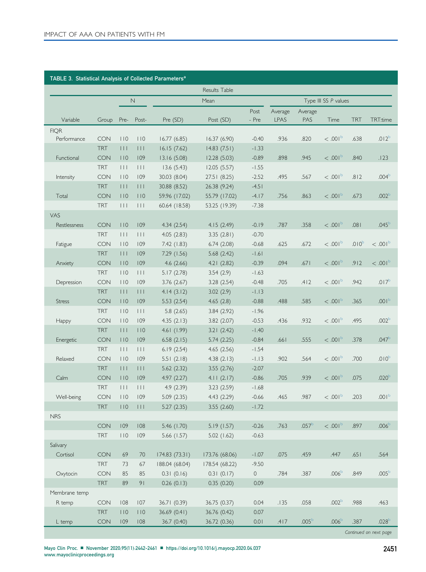<span id="page-9-0"></span>

| TABLE 3. Statistical Analysis of Collected Parameters <sup>a</sup> |                          |                                |                                |                            |                            |                      |                        |                   |                       |                   |                    |
|--------------------------------------------------------------------|--------------------------|--------------------------------|--------------------------------|----------------------------|----------------------------|----------------------|------------------------|-------------------|-----------------------|-------------------|--------------------|
|                                                                    |                          |                                |                                |                            | Results Table              |                      |                        |                   |                       |                   |                    |
|                                                                    |                          |                                | $\mathsf{N}$<br>Mean           |                            |                            | Type III SS P values |                        |                   |                       |                   |                    |
| Variable                                                           | Group                    | Pre-                           | Post-                          | Pre (SD)                   | Post (SD)                  | Post<br>- Pre        | Average<br><b>LPAS</b> | Average<br>PAS    | Time                  | <b>TRT</b>        | TRT:time           |
| <b>FIQR</b>                                                        |                          |                                |                                |                            |                            |                      |                        |                   |                       |                   |                    |
| Performance                                                        | <b>CON</b><br><b>TRT</b> | 110<br>$\Box$                  | 110<br>$\vert \ \vert \ \vert$ | 16.77(6.85)<br>16.15(7.62) | 16.37(6.90)<br>14.83(7.51) | $-0.40$<br>$-1.33$   | .936                   | .820              | <.001 <sup>b</sup>    | .638              | $.012^{b}$         |
| Functional                                                         | <b>CON</b>               | 110                            | 109                            | 13.16(5.08)                | 12.28(5.03)                | $-0.89$              | .898                   | .945              | <.001 <sup>b</sup>    | .840              | .123               |
|                                                                    | <b>TRT</b>               | $\vert \ \vert \ \vert$        | $\vert \ \vert \ \vert$        | 13.6(5.43)                 | 12.05(5.57)                | $-1.55$              |                        |                   |                       |                   |                    |
| Intensity                                                          | <b>CON</b>               | 10                             | 109                            | 30.03 (8.04)               | 27.51 (8.25)               | $-2.52$              | .495                   | .567              | <.001 <sup>b</sup>    | .812              | .004 <sup>b</sup>  |
|                                                                    | <b>TRT</b>               | $\Box$                         | $\Box$                         | 30.88 (8.52)               | 26.38 (9.24)               | $-4.51$              |                        |                   |                       |                   |                    |
| Total                                                              | <b>CON</b>               | 110                            | 110                            | 59.96 (17.02)              | 55.79 (17.02)              | $-4.17$              | .756                   | .863              | <.001 <sup>b</sup>    | .673              | .002 <sup>b</sup>  |
|                                                                    | <b>TRT</b>               | $\Box$                         | $\vert \ \vert \ \vert$        | 60.64 (18.58)              | 53.25 (19.39)              | $-7.38$              |                        |                   |                       |                   |                    |
| VAS                                                                |                          |                                |                                |                            |                            |                      |                        |                   |                       |                   |                    |
| Restlessness                                                       | <b>CON</b>               | 110                            | 109                            | 4.34(2.54)                 | 4.15(2.49)                 | $-0.19$              | .787                   | .358              | <.001 <sup>b</sup>    | .081              | .045 <sup>b</sup>  |
| Fatigue                                                            | <b>TRT</b><br><b>CON</b> | $\vert \ \vert \ \vert$<br>110 | $\Box$<br>109                  | 4.05(2.83)<br>7.42 (1.83)  | 3.35(2.81)<br>6.74(2.08)   | $-0.70$<br>$-0.68$   | .625                   | .672              | <.001 <sup>b</sup>    | .010 <sup>b</sup> | <.001 <sup>b</sup> |
|                                                                    | <b>TRT</b>               | $\Box$                         | 109                            | 7.29 (1.56)                | 5.68(2.42)                 | $-1.61$              |                        |                   |                       |                   |                    |
| Anxiety                                                            | <b>CON</b>               | 110                            | 109                            | 4.6(2.66)                  | 4.21(2.82)                 | $-0.39$              | .094                   | .671              | <.001 <sup>b</sup>    | .912              | <.001 <sup>b</sup> |
|                                                                    | <b>TRT</b>               | 10                             | $\Box$                         | 5.17(2.78)                 | 3.54(2.9)                  | $-1.63$              |                        |                   |                       |                   |                    |
| Depression                                                         | CON                      | 10                             | 109                            | 3.76(2.67)                 | 3.28(2.54)                 | $-0.48$              | .705                   | .412              | $< 0.01^{\circ}$      | .942              | .017 <sup>b</sup>  |
|                                                                    | <b>TRT</b>               | $\perp$                        | $\Box$                         | 4.14(3.12)                 | 3.02(2.9)                  | $-1.13$              |                        |                   |                       |                   |                    |
| <b>Stress</b>                                                      | <b>CON</b>               | 110                            | 109                            | 5.53(2.54)                 | 4.65(2.8)                  | $-0.88$              | .488                   | .585              | $< 0.001^{\circ}$     | .365              | .001 <sup>b</sup>  |
|                                                                    | <b>TRT</b>               | 10                             | $\Box$                         | 5.8(2.65)                  | 3.84(2.92)                 | $-1.96$              |                        |                   |                       |                   |                    |
| Happy                                                              | <b>CON</b>               | 110                            | 109                            | 4.35(2.13)                 | 3.82(2.07)                 | $-0.53$              | .436                   | .932              | <.001 <sup>b</sup>    | .495              | .002 <sup>b</sup>  |
|                                                                    | <b>TRT</b>               | $\Box$                         | 110                            | 4.61(1.99)                 | 3.21(2.42)                 | $-1.40$              |                        |                   |                       |                   |                    |
| Energetic                                                          | <b>CON</b><br><b>TRT</b> | 110<br>$\vert \ \vert \ \vert$ | 109<br>$\Box$                  | 6.58(2.15)<br>6.19(2.54)   | 5.74(2.25)<br>4.65(2.56)   | $-0.84$<br>$-1.54$   | .661                   | .555              | <.001 <sup>b</sup>    | .378              | .047 <sup>b</sup>  |
| Relaxed                                                            | <b>CON</b>               | 10                             | 109                            | 5.51(2.18)                 | 4.38(2.13)                 | $-1.13$              | .902                   | .564              | <.001 <sup>b</sup>    | .700              | .010 <sup>b</sup>  |
|                                                                    | <b>TRT</b>               | $\Box$                         | 111                            | 5.62(2.32)                 | 3.55(2.76)                 | $-2.07$              |                        |                   |                       |                   |                    |
| Calm                                                               | <b>CON</b>               | 110                            | 109                            | 4.97(2.27)                 | 4.11(2.17)                 | $-0.86$              | .705                   | .939              | < 0.001               | .075              | .020 <sup>b</sup>  |
|                                                                    | <b>TRT</b>               | $\vert \ \vert \ \vert$        | $\vert \ \vert \ \vert$        | 4.9(2.39)                  | 3.23(2.59)                 | $-1.68$              |                        |                   |                       |                   |                    |
| Well-being                                                         | <b>CON</b>               | 10                             | 109                            | 5.09(2.35)                 | 4.43(2.29)                 | $-0.66$              | .465                   | .987              | $< .001$ <sup>b</sup> | .203              | .001 <sup>b</sup>  |
|                                                                    | <b>TRT</b>               | 110                            | $\pm\pm\pm$                    | 5.27(2.35)                 | 3.55(2.60)                 | $-1.72$              |                        |                   |                       |                   |                    |
| <b>NRS</b>                                                         |                          |                                |                                |                            |                            |                      |                        |                   |                       |                   |                    |
|                                                                    | <b>CON</b>               | 109                            | 108                            | 5.46 (1.70)                | 5.19 (1.57)                | $-0.26$              | .763                   | .057 <sup>b</sup> | <.001 <sup>b</sup>    | .897              | .006 <sup>b</sup>  |
|                                                                    | <b>TRT</b>               | 110                            | 109                            | 5.66 (1.57)                | 5.02(1.62)                 | $-0.63$              |                        |                   |                       |                   |                    |
| Salivary<br>Cortisol                                               | <b>CON</b>               | 69                             | 70                             | 174.83 (73.31)             | 173.76 (68.06)             | $-1.07$              | .075                   | .459              | .447                  | .651              | .564               |
|                                                                    | <b>TRT</b>               | 73                             | 67                             | 188.04 (68.04)             | 178.54 (68.22)             | $-9.50$              |                        |                   |                       |                   |                    |
| Oxytocin                                                           | <b>CON</b>               | 85                             | 85                             | 0.31(0.16)                 | 0.31(0.17)                 | 0                    | .784                   | .387              | .006 <sup>b</sup>     | .849              | .005 <sup>b</sup>  |
|                                                                    | <b>TRT</b>               | 89                             | 91                             | 0.26(0.13)                 | 0.35(0.20)                 | 0.09                 |                        |                   |                       |                   |                    |
| Membrane temp                                                      |                          |                                |                                |                            |                            |                      |                        |                   |                       |                   |                    |
| R temp                                                             | <b>CON</b>               | 108                            | 107                            | 36.71 (0.39)               | 36.75 (0.37)               | 0.04                 | .135                   | .058              | .002 <sup>b</sup>     | .988              | .463               |
|                                                                    | <b>TRT</b>               | 110                            | 110                            | 36.69 (0.41)               | 36.76 (0.42)               | 0.07                 |                        |                   |                       |                   |                    |
| L temp                                                             | <b>CON</b>               | 109                            | 108                            | 36.7 (0.40)                | 36.72 (0.36)               | 0.01                 | .417                   | .005 <sup>b</sup> | .006 <sup>b</sup>     | .387              | .028 <sup>b</sup>  |

Continued on next page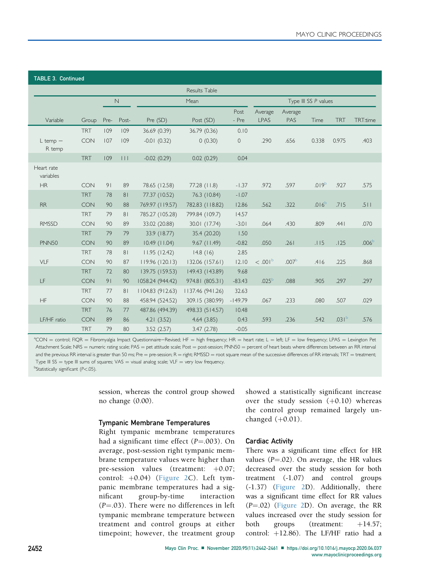| <b>TABLE 3. Continued</b> |            |      |                |                  |                  |               |                        |                       |                   |                   |                   |  |
|---------------------------|------------|------|----------------|------------------|------------------|---------------|------------------------|-----------------------|-------------------|-------------------|-------------------|--|
| Results Table             |            |      |                |                  |                  |               |                        |                       |                   |                   |                   |  |
|                           |            |      | $\mathbb N$    | Mean             |                  |               | Type III SS P values   |                       |                   |                   |                   |  |
| Variable                  | Group      | Pre- | Post-          | Pre (SD)         | Post (SD)        | Post<br>- Pre | Average<br><b>LPAS</b> | Average<br><b>PAS</b> | Time              | <b>TRT</b>        | TRT:time          |  |
|                           | <b>TRT</b> | 109  | 109            | 36.69 (0.39)     | 36.79 (0.36)     | 0.10          |                        |                       |                   |                   |                   |  |
| $L$ temp $-$<br>R temp    | <b>CON</b> | 107  | 109            | $-0.01(0.32)$    | 0(0.30)          | $\circ$       | .290                   | .656                  | 0.338             | 0.975             | .403              |  |
|                           | <b>TRT</b> | 109  | $\Box$         | $-0.02(0.29)$    | 0.02(0.29)       | 0.04          |                        |                       |                   |                   |                   |  |
| Heart rate<br>variables   |            |      |                |                  |                  |               |                        |                       |                   |                   |                   |  |
| <b>HR</b>                 | <b>CON</b> | 91   | 89             | 78.65 (12.58)    | $77.28$ (11.8)   | $-1.37$       | .972                   | .597                  | .019 <sup>b</sup> | .927              | .575              |  |
|                           | <b>TRT</b> | 78   | 81             | 77.37 (10.52)    | 76.3 (10.84)     | $-1.07$       |                        |                       |                   |                   |                   |  |
| <b>RR</b>                 | <b>CON</b> | 90   | 88             | 769.97 (119.57)  | 782.83 (118.82)  | 12.86         | .562                   | .322                  | $.016^{b}$        | .715              | .511              |  |
|                           | <b>TRT</b> | 79   | 81             | 785.27 (105.28)  | 799.84 (109.7)   | 14.57         |                        |                       |                   |                   |                   |  |
| <b>RMSSD</b>              | <b>CON</b> | 90   | 89             | 33.02 (20.88)    | 30.01 (17.74)    | $-3.01$       | .064                   | .430                  | .809              | .441              | .070              |  |
|                           | <b>TRT</b> | 79   | 79             | 33.9 (18.77)     | 35.4 (20.20)     | 1.50          |                        |                       |                   |                   |                   |  |
| <b>PNN50</b>              | <b>CON</b> | 90   | 89             | $10.49$ (11.04)  | $9.67$ (11.49)   | $-0.82$       | .050                   | .261                  | .115              | .125              | .006 <sup>b</sup> |  |
|                           | <b>TRT</b> | 78   | 8 <sub>1</sub> | 11.95(12.42)     | 14.8(16)         | 2.85          |                        |                       |                   |                   |                   |  |
| VLF                       | <b>CON</b> | 90   | 87             | 119.96(120.13)   | 132.06 (157.61)  | 12.10         | <.001 <sup>b</sup>     | .007 <sup>b</sup>     | .416              | .225              | .868              |  |
|                           | <b>TRT</b> | 72   | 80             | 139.75 (159.53)  | 149.43 (143.89)  | 9.68          |                        |                       |                   |                   |                   |  |
| LF                        | <b>CON</b> | 91   | 90             | 1058.24 (944.42) | 974.81 (805.31)  | $-83.43$      | .025 <sup>b</sup>      | .088                  | .905              | .297              | .297              |  |
|                           | <b>TRT</b> | 77   | 81             | 1104.83 (912.63) | 1137.46 (941.26) | 32.63         |                        |                       |                   |                   |                   |  |
| HF                        | CON        | 90   | 88             | 458.94 (524.52)  | 309.15 (380.99)  | $-149.79$     | .067                   | .233                  | .080              | .507              | .029              |  |
|                           | <b>TRT</b> | 76   | 77             | 487.86 (494.39)  | 498.33 (514.57)  | 10.48         |                        |                       |                   |                   |                   |  |
| LF/HF ratio               | <b>CON</b> | 89   | 86             | 4.21(3.52)       | 4.64(3.85)       | 0.43          | .593                   | .236                  | .542              | .031 <sup>b</sup> | .576              |  |
|                           | <b>TRT</b> | 79   | 80             | 3.52(2.57)       | 3.47(2.78)       | $-0.05$       |                        |                       |                   |                   |                   |  |

<span id="page-10-1"></span><span id="page-10-0"></span> $^a$ CON = control; FIQR = Fibromyalgia Impact Questionnaire–Revised; HF = high frequency; HR = heart rate; L = left; LF = low frequency; LPAS = Lexington Pet Attachment Scale; NRS = numeric rating scale; PAS = pet attitude scale; Post = post-session; PNN50 = percent of heart beats where differences between an RR interval and the previous RR interval is greater than 50 ms; Pre = pre-session;  $R =$  right; RMSSD = root square mean of the successive differences of RR intervals; TRT = treatment; Type III SS = type III sums of squares; VAS = visual analog scale; VLF = very low frequency. <sup>b</sup>Statistically significant (P<.05).

> session, whereas the control group showed no change (0.00).

#### Tympanic Membrane Temperatures

Right tympanic membrane temperatures had a significant time effect  $(P=.003)$ . On average, post-session right tympanic membrane temperature values were higher than pre-session values (treatment:  $+0.07$ ; control:  $+0.04$ ) ([Figure 2](#page-11-0)C). Left tympanic membrane temperatures had a significant group-by-time interaction  $(P=.03)$ . There were no differences in left tympanic membrane temperature between treatment and control groups at either timepoint; however, the treatment group showed a statistically significant increase over the study session  $(+0.10)$  whereas the control group remained largely unchanged  $(+0.01)$ .

#### Cardiac Activity

There was a significant time effect for HR values ( $P = .02$ ). On average, the HR values decreased over the study session for both treatment (-1.07) and control groups (-1.37) ([Figure 2D](#page-11-0)). Additionally, there was a significant time effect for RR values  $(P=.02)$  ([Figure 2D](#page-11-0)). On average, the RR values increased over the study session for both groups (treatment:  $+14.57$ ; control: +12.86). The LF/HF ratio had a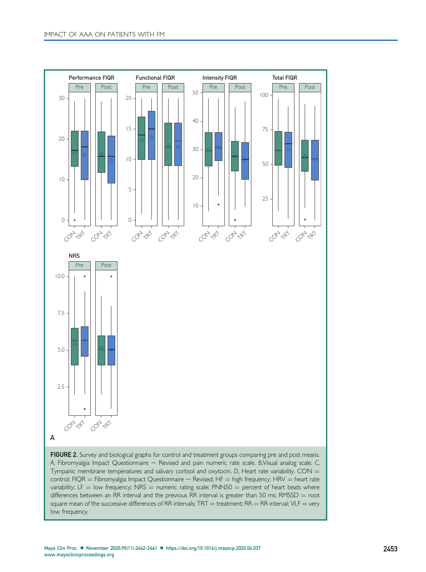<span id="page-11-0"></span>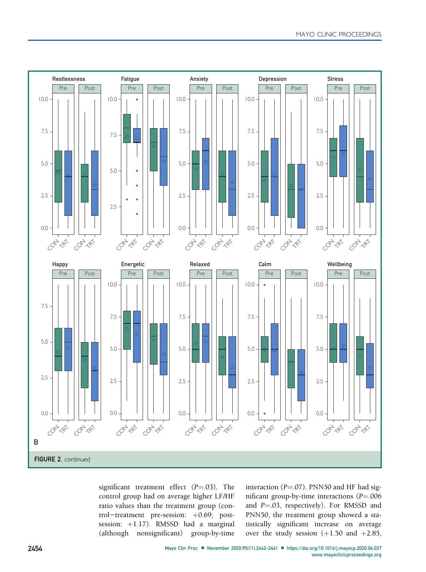

significant treatment effect  $(P=.03)$ . The control group had on average higher LF/HF ratio values than the treatment group (control-treatment pre-session: +0.69; postsession: +1.17). RMSSD had a marginal (although nonsignificant) group-by-time (although nonsignificant)

interaction  $(P=.07)$ . PNN50 and HF had significant group-by-time interactions  $(P = .006$ and  $P = .03$ , respectively). For RMSSD and PNN50, the treatment group showed a statistically significant increase on average over the study session  $(+1.50$  and  $+2.85$ ,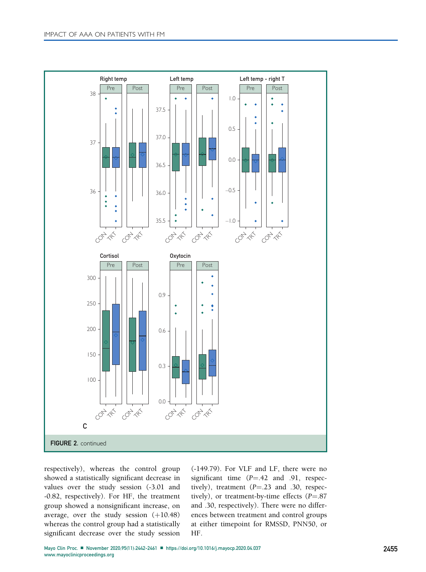

respectively), whereas the control group showed a statistically significant decrease in values over the study session (-3.01 and -0.82, respectively). For HF, the treatment group showed a nonsignificant increase, on average, over the study session  $(+10.48)$ whereas the control group had a statistically significant decrease over the study session

(-149.79). For VLF and LF, there were no significant time  $(P = .42$  and .91, respectively), treatment  $(P = .23$  and .30, respectively), or treatment-by-time effects  $(P = .87$ and .30, respectively). There were no differences between treatment and control groups at either timepoint for RMSSD, PNN50, or HF.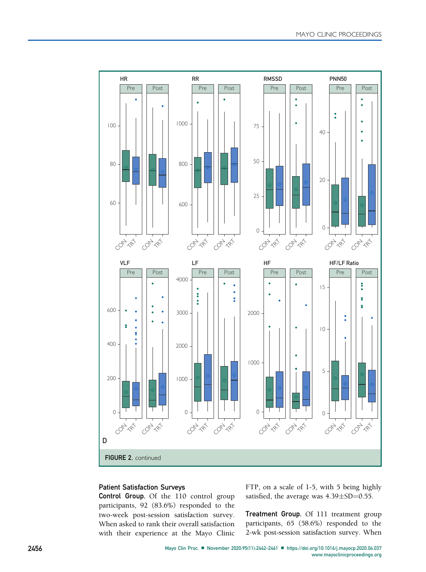

# Patient Satisfaction Surveys

Control Group. Of the 110 control group participants, 92 (83.6%) responded to the two-week post-session satisfaction survey. When asked to rank their overall satisfaction with their experience at the Mayo Clinic FTP, on a scale of 1-5, with 5 being highly satisfied, the average was  $4.39 \pm SD = 0.55$ .

Treatment Group. Of 111 treatment group participants, 65 (58.6%) responded to the 2-wk post-session satisfaction survey. When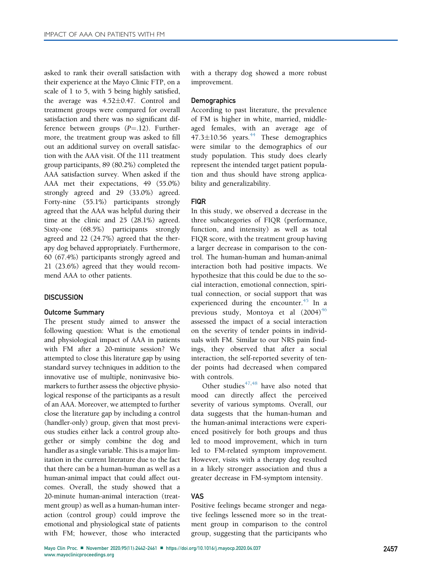asked to rank their overall satisfaction with their experience at the Mayo Clinic FTP, on a scale of 1 to 5, with 5 being highly satisfied, the average was  $4.52 \pm 0.47$ . Control and treatment groups were compared for overall satisfaction and there was no significant difference between groups  $(P = .12)$ . Furthermore, the treatment group was asked to fill out an additional survey on overall satisfaction with the AAA visit. Of the 111 treatment group participants, 89 (80.2%) completed the AAA satisfaction survey. When asked if the AAA met their expectations, 49 (55.0%) strongly agreed and 29 (33.0%) agreed. Forty-nine (55.1%) participants strongly agreed that the AAA was helpful during their time at the clinic and 25 (28.1%) agreed. Sixty-one (68.5%) participants strongly agreed and 22 (24.7%) agreed that the therapy dog behaved appropriately. Furthermore, 60 (67.4%) participants strongly agreed and 21 (23.6%) agreed that they would recommend AAA to other patients.

#### **DISCUSSION**

#### Outcome Summary

The present study aimed to answer the following question: What is the emotional and physiological impact of AAA in patients with FM after a 20-minute session? We attempted to close this literature gap by using standard survey techniques in addition to the innovative use of multiple, noninvasive biomarkers to further assess the objective physiological response of the participants as a result of an AAA. Moreover, we attempted to further close the literature gap by including a control (handler-only) group, given that most previous studies either lack a control group altogether or simply combine the dog and handler as a single variable. This is a major limitation in the current literature due to the fact that there can be a human-human as well as a human-animal impact that could affect outcomes. Overall, the study showed that a 20-minute human-animal interaction (treatment group) as well as a human-human interaction (control group) could improve the emotional and physiological state of patients with FM; however, those who interacted

with a therapy dog showed a more robust improvement.

#### **Demographics**

According to past literature, the prevalence of FM is higher in white, married, middleaged females, with an average age of  $47.3 \pm 10.56$  years.<sup>[44](#page-19-16)</sup> These demographics were similar to the demographics of our study population. This study does clearly represent the intended target patient population and thus should have strong applicability and generalizability.

#### FIQR

In this study, we observed a decrease in the three subcategories of FIQR (performance, function, and intensity) as well as total FIQR score, with the treatment group having a larger decrease in comparison to the control. The human-human and human-animal interaction both had positive impacts. We hypothesize that this could be due to the social interaction, emotional connection, spiritual connection, or social support that was experienced during the encounter.<sup>[45](#page-19-17)</sup> In a previous study, Montoya et al  $(2004)^{46}$  $(2004)^{46}$  $(2004)^{46}$ assessed the impact of a social interaction on the severity of tender points in individuals with FM. Similar to our NRS pain findings, they observed that after a social interaction, the self-reported severity of tender points had decreased when compared with controls.

Other studies $47,48$  $47,48$  have also noted that mood can directly affect the perceived severity of various symptoms. Overall, our data suggests that the human-human and the human-animal interactions were experienced positively for both groups and thus led to mood improvement, which in turn led to FM-related symptom improvement. However, visits with a therapy dog resulted in a likely stronger association and thus a greater decrease in FM-symptom intensity.

#### VAS

Positive feelings became stronger and negative feelings lessened more so in the treatment group in comparison to the control group, suggesting that the participants who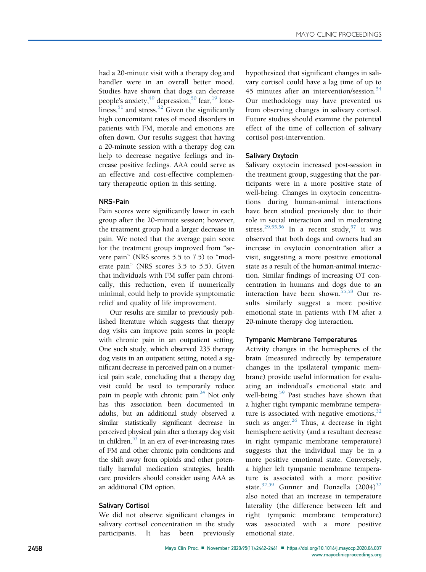had a 20-minute visit with a therapy dog and handler were in an overall better mood. Studies have shown that dogs can decrease people's anxiety, $49$  depression, $50$  fear, $19$  loneliness,  $51$  and stress.  $52$  Given the significantly high concomitant rates of mood disorders in patients with FM, morale and emotions are often down. Our results suggest that having a 20-minute session with a therapy dog can help to decrease negative feelings and increase positive feelings. AAA could serve as an effective and cost-effective complementary therapeutic option in this setting.

### NRS-Pain

Pain scores were significantly lower in each group after the 20-minute session; however, the treatment group had a larger decrease in pain. We noted that the average pain score for the treatment group improved from "severe pain" (NRS scores 5.5 to 7.5) to "moderate pain" (NRS scores 3.5 to 5.5). Given that individuals with FM suffer pain chronically, this reduction, even if numerically minimal, could help to provide symptomatic relief and quality of life improvement.

Our results are similar to previously published literature which suggests that therapy dog visits can improve pain scores in people with chronic pain in an outpatient setting. One such study, which observed 235 therapy dog visits in an outpatient setting, noted a significant decrease in perceived pain on a numerical pain scale, concluding that a therapy dog visit could be used to temporarily reduce pain in people with chronic pain.<sup>24</sup> Not only has this association been documented in adults, but an additional study observed a similar statistically significant decrease in perceived physical pain after a therapy dog visit in children.<sup>53</sup> In an era of ever-increasing rates of FM and other chronic pain conditions and the shift away from opioids and other potentially harmful medication strategies, health care providers should consider using AAA as an additional CIM option.

# Salivary Cortisol

We did not observe significant changes in salivary cortisol concentration in the study participants. It has been previously hypothesized that significant changes in salivary cortisol could have a lag time of up to 45 minutes after an intervention/session. $54$ Our methodology may have prevented us from observing changes in salivary cortisol. Future studies should examine the potential effect of the time of collection of salivary cortisol post-intervention.

### Salivary Oxytocin

Salivary oxytocin increased post-session in the treatment group, suggesting that the participants were in a more positive state of well-being. Changes in oxytocin concentrations during human-animal interactions have been studied previously due to their role in social interaction and in moderating stress.<sup>[29](#page-19-1)[,55,](#page-19-27)[56](#page-19-28)</sup> In a recent study,<sup>[57](#page-19-29)</sup> it was observed that both dogs and owners had an increase in oxytocin concentration after a visit, suggesting a more positive emotional state as a result of the human-animal interaction. Similar findings of increasing OT concentration in humans and dogs due to an interaction have been shown.<sup>[55](#page-19-27)[,58](#page-19-30)</sup> Our results similarly suggest a more positive emotional state in patients with FM after a 20-minute therapy dog interaction.

#### Tympanic Membrane Temperatures

Activity changes in the hemispheres of the brain (measured indirectly by temperature changes in the ipsilateral tympanic membrane) provide useful information for evaluating an individual's emotional state and well-being.<sup>[59](#page-19-31)</sup> Past studies have shown that a higher right tympanic membrane temperature is associated with negative emotions,  $32$ such as anger. $26$  Thus, a decrease in right hemisphere activity (and a resultant decrease in right tympanic membrane temperature) suggests that the individual may be in a more positive emotional state. Conversely, a higher left tympanic membrane temperature is associated with a more positive state.<sup>[32](#page-19-4)[,59](#page-19-31)</sup> Gunner and Donzella  $(2004)^{32}$ also noted that an increase in temperature laterality (the difference between left and right tympanic membrane temperature) was associated with a more positive emotional state.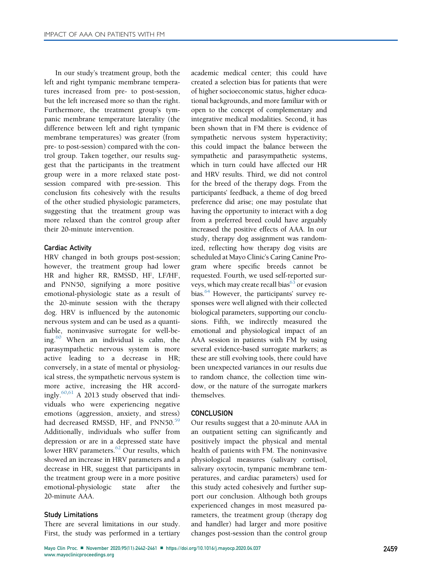In our study's treatment group, both the left and right tympanic membrane temperatures increased from pre- to post-session, but the left increased more so than the right. Furthermore, the treatment group's tympanic membrane temperature laterality (the difference between left and right tympanic membrane temperatures) was greater (from pre- to post-session) compared with the control group. Taken together, our results suggest that the participants in the treatment group were in a more relaxed state postsession compared with pre-session. This conclusion fits cohesively with the results of the other studied physiologic parameters, suggesting that the treatment group was more relaxed than the control group after their 20-minute intervention.

#### Cardiac Activity

HRV changed in both groups post-session; however, the treatment group had lower HR and higher RR, RMSSD, HF, LF/HF, and PNN50, signifying a more positive emotional-physiologic state as a result of the 20-minute session with the therapy dog. HRV is influenced by the autonomic nervous system and can be used as a quantifiable, noninvasive surrogate for well-being. $60$  When an individual is calm, the parasympathetic nervous system is more active leading to a decrease in HR; conversely, in a state of mental or physiological stress, the sympathetic nervous system is more active, increasing the HR accordingly.[60](#page-19-32)[,61](#page-19-33) A 2013 study observed that individuals who were experiencing negative emotions (aggression, anxiety, and stress) had decreased RMSSD, HF, and PNN50.<sup>[59](#page-19-30)</sup> Additionally, individuals who suffer from depression or are in a depressed state have lower HRV parameters.<sup>[62](#page-19-34)</sup> Our results, which showed an increase in HRV parameters and a decrease in HR, suggest that participants in the treatment group were in a more positive emotional-physiologic state after the 20-minute AAA.

#### Study Limitations

There are several limitations in our study. First, the study was performed in a tertiary academic medical center; this could have created a selection bias for patients that were of higher socioeconomic status, higher educational backgrounds, and more familiar with or open to the concept of complementary and integrative medical modalities. Second, it has been shown that in FM there is evidence of sympathetic nervous system hyperactivity; this could impact the balance between the sympathetic and parasympathetic systems, which in turn could have affected our HR and HRV results. Third, we did not control for the breed of the therapy dogs. From the participants' feedback, a theme of dog breed preference did arise; one may postulate that having the opportunity to interact with a dog from a preferred breed could have arguably increased the positive effects of AAA. In our study, therapy dog assignment was randomized, reflecting how therapy dog visits are scheduled at Mayo Clinic's Caring Canine Program where specific breeds cannot be requested. Fourth, we used self-reported surveys, which may create recall bias<sup>63</sup> or evasion bias.<sup>[64](#page-19-36)</sup> However, the participants' survey responses were well aligned with their collected biological parameters, supporting our conclusions. Fifth, we indirectly measured the emotional and physiological impact of an AAA session in patients with FM by using several evidence-based surrogate markers; as these are still evolving tools, there could have been unexpected variances in our results due to random chance, the collection time window, or the nature of the surrogate markers themselves.

#### **CONCLUSION**

Our results suggest that a 20-minute AAA in an outpatient setting can significantly and positively impact the physical and mental health of patients with FM. The noninvasive physiological measures (salivary cortisol, salivary oxytocin, tympanic membrane temperatures, and cardiac parameters) used for this study acted cohesively and further support our conclusion. Although both groups experienced changes in most measured parameters, the treatment group (therapy dog and handler) had larger and more positive changes post-session than the control group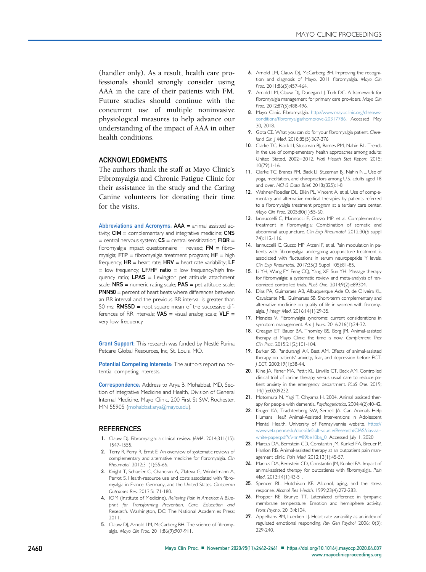(handler only). As a result, health care professionals should strongly consider using AAA in the care of their patients with FM. Future studies should continue with the concurrent use of multiple noninvasive physiological measures to help advance our understanding of the impact of AAA in other health conditions.

### ACKNOWLEDGMENTS

The authors thank the staff at Mayo Clinic's Fibromyalgia and Chronic Fatigue Clinic for their assistance in the study and the Caring Canine volunteers for donating their time for the visits.

Abbreviations and Acronyms:  $AAA =$  animal assisted activity; CIM = complementary and integrative medicine; CNS  $=$  central nervous system;  $CS =$  central sensitization;  $FIQR =$ fibromyalgia impact questionnaire - revised;  $FM = fibro$ myalgia;  $FTP = fibromyalgia treatment program; HF = high$ frequency;  $HR =$  heart rate;  $HRV =$  heart rate variability;  $LF$  $=$  low frequency; LF/HF ratio  $=$  low frequency/high frequency ratio;  $LPAS =$  Lexington pet attitude attachment scale; NRS = numeric rating scale; PAS = pet attitude scale; PNN50 = percent of heart beats where differences between an RR interval and the previous RR interval is greater than 50 ms;  $RMSSD$  = root square mean of the successive differences of RR intervals;  $VAS =$  visual analog scale;  $VLF =$ very low frequency

Grant Support: This research was funded by Nestlé Purina Petcare Global Resources, Inc, St. Louis, MO.

Potential Competing Interests: The authors report no potential competing interests.

Correspondence: Address to Arya B. Mohabbat, MD, Section of Integrative Medicine and Health, Division of General Internal Medicine, Mayo Clinic, 200 First St SW, Rochester, MN 55905 ([mohabbat.arya@mayo.edu\)](mailto:mohabbat.arya@mayo.edu).

#### **REFERENCES**

- <span id="page-18-0"></span>1. Clauw DJ. Fibromyalgia: a clinical review. JAMA. 2014;311(15): 1547-1555.
- <span id="page-18-1"></span>2. Terry R, Perry R, Ernst E. An overview of systematic reviews of complementary and alternative medicine for fibromyalgia. Clin Rheumatol. 2012;31(1):55-66.
- <span id="page-18-2"></span>3. Knight T, Schaefer C, Chandran A, Zlateva G, Winkelmann A, Perrot S. Health-resource use and costs associated with fibromyalgia in France, Germany, and the United States. Clinicoecon Outcomes Res. 2013;5:171-180.
- <span id="page-18-3"></span>4. IOM (Institute of Medicine). Relieving Pain in America: A Blueprint for Transforming Prevention, Care, Education and Research. Washington, DC: The National Academies Press; 2011.
- <span id="page-18-4"></span>5. Clauw DJ, Amold LM, McCarberg BH. The science of fibromyalgia. Mayo Clin Proc. 2011;86(9):907-911.
- 6. Arnold LM, Clauw DJ, McCarberg BH. Improving the recognition and diagnosis of Mayo, 2011 fibromyalgia. Mayo Clin Proc. 2011:86(5):457-464.
- 7. Arnold LM, Clauw DJ, Dunegan LJ, Turk DC. A framework for fibromyalgia management for primary care providers. Mayo Clin Proc. 2012;87(5):488-496.
- <span id="page-18-5"></span>8. Mayo Clinic. Fibromyalgia. [http://www.mayoclinic.org/diseases](http://www.mayoclinic.org/diseases-conditions/fibromyalgia/home/ovc-20317786)conditions/fi[bromyalgia/home/ovc-20317786.](http://www.mayoclinic.org/diseases-conditions/fibromyalgia/home/ovc-20317786) Accessed May 30, 2018.
- <span id="page-18-6"></span>9. Gota CE. What you can do for your fibromyalgia patient. Cleveland Clin | Med. 2018;85(5):367-376.
- <span id="page-18-7"></span>10. Clarke TC, Black LI, Stussman BJ, Barnes PM, Nahin RL. Trends in the use of complementary health approaches among adults: United Stated, 2002-2012. Natl Health Stat Report. 2015; 10(79):1-16.
- <span id="page-18-8"></span>11. Clarke TC, Branes PM, Black LI, Stussman BJ, Nahin NL. Use of yoga, meditation, and chiropractors among U.S. adults aged 18 and over. NCHS Data Brief. 2018;(325):1-8.
- <span id="page-18-9"></span>12. Wahner-Roedler DL, Elkin PL, Vincent A, et al. Use of complementary and alternative medical therapies by patients referred to a fibromyalgia treatment program at a tertiary care center. Mayo Clin Proc. 2005;80(1):55-60.
- 13. Iannuccelli C, Mannocci F, Guzzo MP, et al. Complementary treatment in fibromyalgia: Combination of somatic and abdominal acupuncture. Clin Exp Rheumatol. 2012;30(6 suppl 74):112-116.
- 14. Iannuccelli C, Guzzo MP, Atzeni F, et al. Pain modulation in patients with fibromyalgia undergoing acupuncture treatment is associated with fluctuations in serum neuropeptide Y levels. Clin Exp Rheumatol. 2017;35(3 Suppl 105):81-85.
- 15. Li YH, Wang FY, Feng CQ, Yang XF, Sun YH. Massage therapy for fibromyalgia: a systematic review and meta-analysis of randomized controlled trials. PLoS One. 2014;9(2):e89304.
- 16. Dias PA, Guimaraes AB, Albuquerque Ade O, de Oliveira KL, Cavalcante ML, Guimaraes SB. Short-term complementary and alternative medicine on quality of life in women with fibromyalgia. J Integr Med. 2016;14(1):29-35.
- 17. Menzies V. Fibromyalgia syndrome: current considerations in symptom management. Am J Nurs. 2016;216(1):24-32.
- <span id="page-18-10"></span>18. Creagan ET, Bauer BA, Thomley BS, Borg JM. Animal-assisted therapy at Mayo Clinic: the time is now. Complement Ther Clin Prac. 2015;21(2):101-104.
- <span id="page-18-11"></span>19. Barker SB, Pandurangi AK, Best AM. Effects of animal-assisted therapy on patients' anxiety, fear, and depression before ECT. J ECT. 2003;19(1):38-44.
- <span id="page-18-12"></span>20. Kline JA, Fisher MA, Pettit KL, Linville CT, Beck AM. Controlled clinical trial of canine therapy versus usual care to reduce patient anxiety in the emergency department. PLoS One. 2019; 14(1):e0209232.
- <span id="page-18-13"></span>21. Motomura N, Yagi T, Ohyama H. 2004. Animal assisted therapy for people with dementia. Psychogeriatrics. 2004;4(2):40-42.
- <span id="page-18-14"></span>22. Kruger KA, Trachtenberg SW, Serpell JA. Can Animals Help Humans Heal? Animal-Assisted Interventions in Adolescent Mental Health. University of Pennsylvannia website, [https://](https://www.vet.upenn.edu/docs/default-source/Research/CIAS/cias-aai-white-paper.pdf?sfvrsn=89be10ba_0) [www.vet.upenn.edu/docs/default-source/Research/CIAS/cias-aai](https://www.vet.upenn.edu/docs/default-source/Research/CIAS/cias-aai-white-paper.pdf?sfvrsn=89be10ba_0)[white-paper.pdf?sfvrsn=89be10ba\\_0.](https://www.vet.upenn.edu/docs/default-source/Research/CIAS/cias-aai-white-paper.pdf?sfvrsn=89be10ba_0) Accessed July 1, 2020.
- <span id="page-18-15"></span>23. Marcus DA, Bernstein CD, Constantin JM, Kunkel FA, Breuer P, Hanlon RB. Animal-assisted therapy at an outpatient pain management clinic. Pain Med. 2012;13(1):45-57.
- <span id="page-18-16"></span>24. Marcus DA, Bernstein CD, Constantin JM, Kunkel FA. Impact of animal-assisted therapy for outpatients with fibromyalgia. Pain Med. 2013;14(1):43-51.
- <span id="page-18-17"></span>25. Spencer RL, Hutchison KE. Alcohol, aging, and the stress response. Alcohol Res Health. 1999;23(4):272-283.
- <span id="page-18-18"></span>26. Propper RE, Brunye TT. Lateralized difference in tympanic membrane temperature: Emotion and hemisphere activity. Front Psycho. 2013;4:104.
- <span id="page-18-19"></span>27. Appelhans BM, Luecken LJ. Heart rate variability as an index of regulated emotional responding. Rev Gen Psychol. 2006;10(3): 229-240.